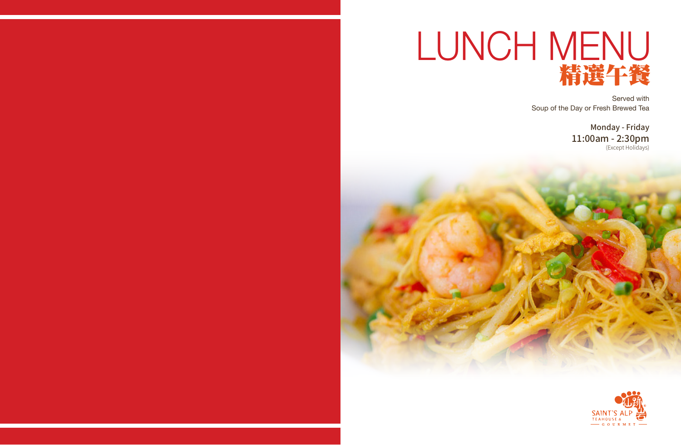

# LUNCH MENU 精選午餐

Served with Soup of the Day or Fresh Brewed Tea

#### Monday - Friday 11:00am - 2:30pm (Except Holidays)